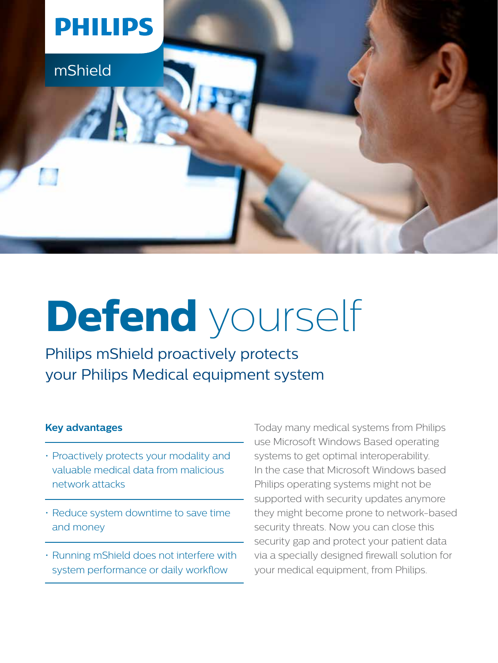

# **Defend** yourself

Philips mShield proactively protects your Philips Medical equipment system

### **Key advantages**

- Proactively protects your modality and valuable medical data from malicious network attacks
- Reduce system downtime to save time and money
- Running mShield does not interfere with system performance or daily workflow

Today many medical systems from Philips use Microsoft Windows Based operating systems to get optimal interoperability. In the case that Microsoft Windows based Philips operating systems might not be supported with security updates anymore they might become prone to network-based security threats. Now you can close this security gap and protect your patient data via a specially designed firewall solution for your medical equipment, from Philips.